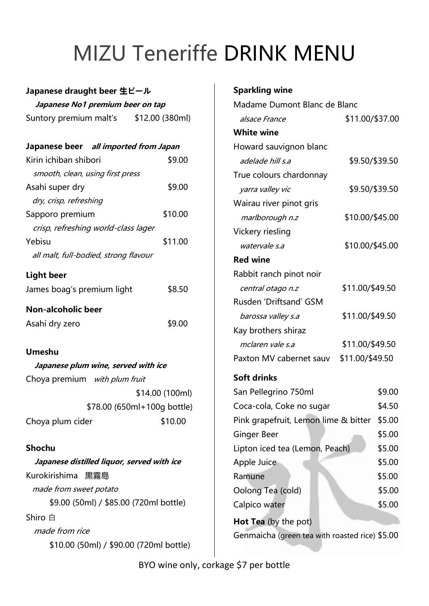# MIZU Teneriffe DRINK MENU

### **Japanese draught beer 生ビール Japanese No1 premium beer on tap** Suntory premium malt's \$12.00 (380ml) **Japanese beer all imported from Japan** Kirin ichiban shibori  $$9.00$  smooth, clean, using first press Asahi super dry \$9.00 dry, crisp, refreshing Sapporo premium \$10.00 crisp, refreshing world-class lager Yebisu  $$11.00$  all malt, full-bodied, strong flavour **Light beer** James boag's premium light \$8.50 **Non-alcoholic beer** Asahi dry zero  $$9.00$

 **Japanese plum wine, served with ice** Choya premium with plum fruit \$14.00 (100ml) \$78.00 (650ml+100g bottle) Choya plum cider \$10.00

**Umeshu**

**Shochu Japanese distilled liquor, served with ice** Kurokirishima 黒霧島 made from sweet potato \$9.00 (50ml) / \$85.00 (720ml bottle) Shiro 白 made from rice \$10.00 (50ml) / \$90.00 (720ml bottle)

#### **Sparkling wine**

| Madame Dumont Blanc de Blanc                   |                 |        |  |  |
|------------------------------------------------|-----------------|--------|--|--|
| alsace France                                  | \$11.00/\$37.00 |        |  |  |
| <b>White wine</b>                              |                 |        |  |  |
| Howard sauvignon blanc                         |                 |        |  |  |
| adelade hill s.a                               | \$9.50/\$39.50  |        |  |  |
| True colours chardonnay                        |                 |        |  |  |
| yarra valley vic                               | \$9.50/\$39.50  |        |  |  |
| Wairau river pinot gris                        |                 |        |  |  |
| marlborough n.z                                | \$10.00/\$45.00 |        |  |  |
| Vickery riesling                               |                 |        |  |  |
| watervale s.a                                  | \$10.00/\$45.00 |        |  |  |
| <b>Red wine</b>                                |                 |        |  |  |
| Rabbit ranch pinot noir                        |                 |        |  |  |
| central otago n.z                              | \$11.00/\$49.50 |        |  |  |
| Rusden 'Driftsand' GSM                         |                 |        |  |  |
| barossa valley s.a                             | \$11.00/\$49.50 |        |  |  |
| Kay brothers shiraz                            |                 |        |  |  |
| mclaren vale s.a                               | \$11.00/\$49.50 |        |  |  |
| \$11.00/\$49.50<br>Paxton MV cabernet sauv     |                 |        |  |  |
| <b>Soft drinks</b>                             |                 |        |  |  |
| San Pellegrino 750ml                           |                 | \$9.00 |  |  |
| Coca-cola, Coke no sugar                       |                 | \$4.50 |  |  |
| Pink grapefruit, Lemon lime & bitter           |                 | \$5.00 |  |  |
| Ginger Beer                                    |                 | \$5.00 |  |  |
| Lipton iced tea (Lemon, Peach)                 |                 | \$5.00 |  |  |
| Apple Juice                                    |                 | \$5.00 |  |  |
| Ramune                                         |                 | \$5.00 |  |  |
| Oolong Tea (cold)                              |                 | \$5.00 |  |  |
| Calpico water                                  |                 | \$5.00 |  |  |
| Hot Tea (by the pot)                           |                 |        |  |  |
| Genmaicha (green tea with roasted rice) \$5.00 |                 |        |  |  |
|                                                |                 |        |  |  |

BYO wine only, corkage \$7 per bottle